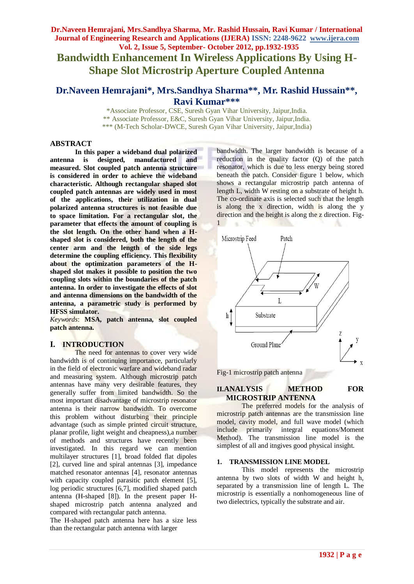## **Dr.Naveen Hemrajani, Mrs.Sandhya Sharma, Mr. Rashid Hussain, Ravi Kumar / International Journal of Engineering Research and Applications (IJERA) ISSN: 2248-9622 www.ijera.com Vol. 2, Issue 5, September- October 2012, pp.1932-1935**

**Bandwidth Enhancement In Wireless Applications By Using H-Shape Slot Microstrip Aperture Coupled Antenna**

## **Dr.Naveen Hemrajani\*, Mrs.Sandhya Sharma\*\*, Mr. Rashid Hussain\*\*, Ravi Kumar\*\*\***

\*Associate Professor, CSE, Suresh Gyan Vihar University, Jaipur,India. \*\* Associate Professor, E&C, Suresh Gyan Vihar University, Jaipur,India. \*\*\* (M-Tech Scholar-DWCE, Suresh Gyan Vihar University, Jaipur,India)

#### **ABSTRACT**

**In this paper a wideband dual polarized antenna is designed, manufactured and measured. Slot coupled patch antenna structure is considered in order to achieve the wideband characteristic. Although rectangular shaped slot coupled patch antennas are widely used in most of the applications, their utilization in dual polarized antenna structures is not feasible due to space limitation. For a rectangular slot, the parameter that effects the amount of coupling is the slot length. On the other hand when a Hshaped slot is considered, both the length of the center arm and the length of the side legs determine the coupling efficiency. This flexibility about the optimization parameters of the Hshaped slot makes it possible to position the two coupling slots within the boundaries of the patch antenna. In order to investigate the effects of slot and antenna dimensions on the bandwidth of the antenna, a parametric study is performed by HFSS simulator.**

*Keywords*: **MSA, patch antenna, slot coupled patch antenna.**

#### **I. INTRODUCTION**

The need for antennas to cover very wide bandwidth is of continuing importance, particularly in the field of electronic warfare and wideband radar and measuring system. Although microstrip patch antennas have many very desirable features, they generally suffer from limited bandwidth. So the most important disadvantage of microstrip resonator antenna is their narrow bandwidth. To overcome this problem without disturbing their principle advantage (such as simple printed circuit structure, planar profile, light weight and cheapness),a number of methods and structures have recently been investigated. In this regard we can mention multilayer structures [1], broad folded flat dipoles [2], curved line and spiral antennas [3], impedance matched resonator antennas [4], resonator antennas with capacity coupled parasitic patch element [5], log periodic structures [6,7], modified shaped patch antenna (H-shaped [8]). In the present paper Hshaped microstrip patch antenna analyzed and compared with rectangular patch antenna.

The H-shaped patch antenna here has a size less than the rectangular patch antenna with larger

bandwidth. The larger bandwidth is because of a reduction in the quality factor (Q) of the patch resonator, which is due to less energy being stored beneath the patch. Consider figure 1 below, which shows a rectangular microstrip patch antenna of length L, width W resting on a substrate of height h. The co-ordinate axis is selected such that the length is along the x direction, width is along the y direction and the height is along the z direction. Fig-1



Fig-1 microstrip patch antenna

## **II.ANALYSIS METHOD FOR MICROSTRIP ANTENNA**

The preferred models for the analysis of microstrip patch antennas are the transmission line model, cavity model, and full wave model (which include primarily integral equations/Moment Method). The transmission line model is the simplest of all and itngives good physical insight.

#### **1. TRANSMISSION LINE MODEL**

This model represents the microstrip antenna by two slots of width W and height h, separated by a transmission line of length L. The microstrip is essentially a nonhomogeneous line of two dielectrics, typically the substrate and air.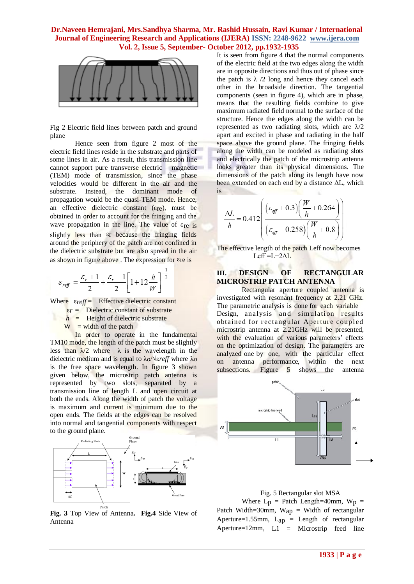## **Dr.Naveen Hemrajani, Mrs.Sandhya Sharma, Mr. Rashid Hussain, Ravi Kumar / International Journal of Engineering Research and Applications (IJERA) ISSN: 2248-9622 www.ijera.com Vol. 2, Issue 5, September- October 2012, pp.1932-1935**



Fig 2 Electric field lines between patch and ground plane

Hence seen from figure 2 most of the electric field lines reside in the substrate and parts of some lines in air. As a result, this transmission line cannot support pure transverse electric – magnetic (TEM) mode of transmission, since the phase velocities would be different in the air and the substrate. Instead, the dominant mode of propagation would be the quasi-TEM mode. Hence, an effective dielectric constant (εre), must be obtained in order to account for the fringing and the wave propagation in the line. The value of  $\varepsilon_{\text{re}}$  is slightly less than  $\varepsilon$ r because the fringing fields around the periphery of the patch are not confined in the dielectric substrate but are also spread in the air as shown in figure above. The expression for  $\varepsilon$ re is

$$
\varepsilon_{\text{ref}} = \frac{\varepsilon_r + 1}{2} + \frac{\varepsilon_r - 1}{2} \left[ 1 + 12 \frac{h}{W} \right]^{-\frac{1}{2}}
$$

Where *ε<sub>reff</sub>* = Effective dielectric constant

 $\varepsilon_r$  = Dielectric constant of substrate

 $h$  = Height of dielectric substrate

 $W = width of the patch$ 

In order to operate in the fundamental TM10 mode, the length of the patch must be slightly less than  $\lambda/2$  where  $\lambda$  is the wavelength in the dielectric medium and is equal to λ*o*/√ε*reff* where λ*o*  is the free space wavelength. In figure 3 shown given below, the microstrip patch antenna is represented by two slots, separated by a transmission line of length L and open circuit at both the ends. Along the width of patch the voltage is maximum and current is minimum due to the open ends. The fields at the edges can be resolved into normal and tangential components with respect to the ground plane.



**Fig. 3** Top View of Antenna**. Fig.4** Side View of Antenna

It is seen from figure 4 that the normal components of the electric field at the two edges along the width are in opposite directions and thus out of phase since the patch is  $\lambda$  /2 long and hence they cancel each other in the broadside direction. The tangential components (seen in figure 4), which are in phase, means that the resulting fields combine to give maximum radiated field normal to the surface of the structure. Hence the edges along the width can be represented as two radiating slots, which are  $\lambda/2$ apart and excited in phase and radiating in the half space above the ground plane. The fringing fields along the width can be modeled as radiating slots and electrically the patch of the microstrip antenna looks greater than its physical dimensions. The dimensions of the patch along its length have now been extended on each end by a distance  $\Delta L$ , which is

$$
\frac{\Delta L}{h} = 0.412 \left( \frac{(\varepsilon_{\text{eff}} + 0.3) \left( \frac{W}{h} + 0.264 \right)}{(\varepsilon_{\text{eff}} - 0.258) \left( \frac{W}{h} + 0.8 \right)} \right)
$$

The effective length of the patch Leff now becomes  $Left = L + 2\Delta L$ 

## **III. DESIGN OF RECTANGULAR MICROSTRIP PATCH ANTENNA**

Rectangular aperture coupled antenna is investigated with resonant frequency at 2.21 GHz. The parametric analysis is done for each variable Design, analysis and simulation results obtained for rectangular Aperture coupled microstrip antenna at 2.21GHz will be presented, with the evaluation of various parameters' effects on the optimization of design. The parameters are analyzed one by one, with the particular effect on antenna performance, within the next subsections. Figure 5 shows the antenna



 Fig. 5 Rectangular slot MSA Where  $L_p$  = Patch Length=40mm,  $W_p$  = Patch Width=30mm,  $W_{ap}$  = Width of rectangular Aperture=1.55mm,  $L_{ap}$  = Length of rectangular Aperture= $12$ mm,  $L1 =$  Microstrip feed line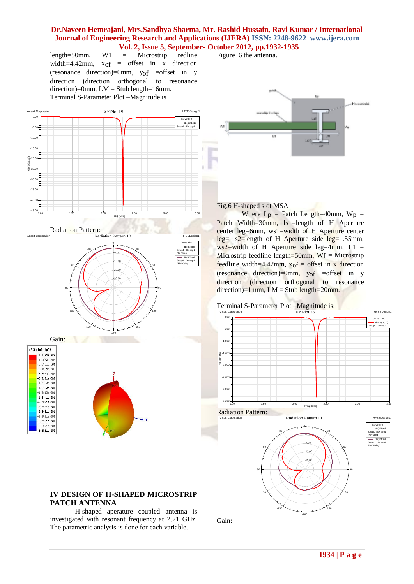# **Dr.Naveen Hemrajani, Mrs.Sandhya Sharma, Mr. Rashid Hussain, Ravi Kumar / International Journal of Engineering Research and Applications (IJERA) ISSN: 2248-9622 www.ijera.com Vol. 2, Issue 5, September- October 2012, pp.1932-1935**<br>= Microstrip redline Figure 6 the antenna.

HFSSDesign

length=50mm, W1 = Microstrip redline width=4.42mm,  $x_{of}$  = offset in x direction (resonance direction)=0mm, yof =offset in y direction (direction orthogonal to resonance direction)=0mm,  $LM =$  Stub length=16mm. Terminal S-Parameter Plot –Magnitude is

Figure 6 the antenna.





#### Fig.6 H-shaped slot MSA

Where  $L_p$  = Patch Length=40mm,  $W_p$  = Patch Width=30mm, Is1=length of H Aperture center leg=6mm, ws1=width of H Aperture center leg= ls2=length of H Aperture side leg=1.55mm, ws2=width of H Aperture side leg=4mm,  $L1 =$ Microstrip feedline length=50mm,  $W_f$  = Microstrip feedline width=4.42mm,  $x<sub>of</sub>$  = offset in x direction (resonance direction)=0mm, yof =offset in y direction (direction orthogonal to resonance direction)=1 mm,  $LM =$  Stub length=20mm.





-180

-150

## **IV DESIGN OF H-SHAPED MICROSTRIP PATCH ANTENNA**

H-shaped aperature coupled antenna is investigated with resonant frequency at 2.21 GHz. The parametric analysis is done for each variable.

Gain:

150